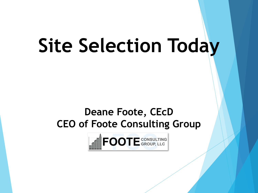# **Site Selection Today**

### **Deane Foote, CEcD CEO of Foote Consulting Group**

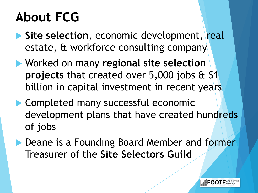## **About FCG**

- **Site selection**, economic development, real estate, & workforce consulting company
- Worked on many **regional site selection projects** that created over 5,000 jobs & \$1 billion in capital investment in recent years
- **Completed many successful economic** development plans that have created hundreds of jobs
- Deane is a Founding Board Member and former Treasurer of the **Site Selectors Guild**

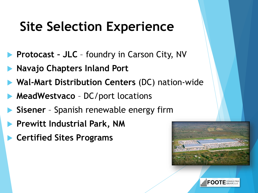## **Site Selection Experience**

- **Protocast JLC** foundry in Carson City, NV
- **Navajo Chapters Inland Port**
- **Wal-Mart Distribution Centers** (DC) nation-wide
- **MeadWestvaco** DC/port locations
- **Sisener** Spanish renewable energy firm
- **Prewitt Industrial Park, NM**
- **Certified Sites Programs**



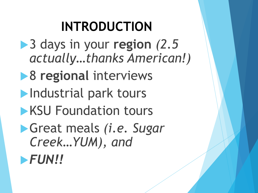## **INTRODUCTION**

- ▶ 3 days in your region  $(2.5$ *actually…thanks American!)*
- 8 **regional** interviews
- **Industrial park tours**
- **KSU Foundation tours**
- Great meals *(i.e. Sugar Creek…YUM), and*

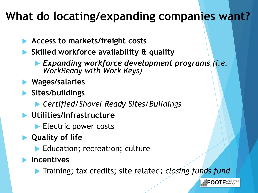### **What do locating/expanding companies want?**

- **Access to markets/freight costs**
- **Skilled workforce availability & quality**
	- *Expanding workforce development programs (i.e. WorkReady with Work Keys)*
- **Wages/salaries**
- **Sites/buildings**
	- *Certified/Shovel Ready Sites/Buildings*
- **Utilities/Infrastructure**
	- **Electric power costs**
- **Quality of life**
	- Education; recreation; culture
- **Incentives**
	- Training; tax credits; site related; *closing funds fund*

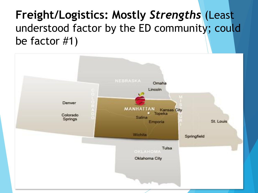### **Freight/Logistics: Mostly** *Strengths* (Least understood factor by the ED community; could be factor #1)

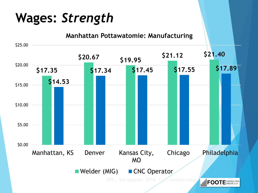## **Wages:** *Strength*

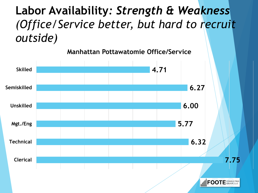### **Labor Availability***: Strength & Weakness (Office/Service better, but hard to recruit outside)*

**Manhattan Pottawatomie Office/Service**

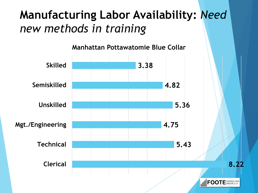### **Manufacturing Labor Availability:** *Need new methods in training*

**Manhattan Pottawatomie Blue Collar**

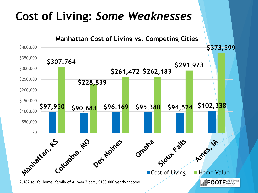### **Cost of Living:** *Some Weaknesses*

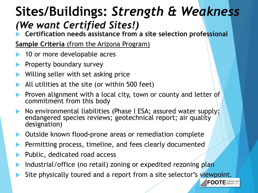### **Sites/Buildings:** *Strength & Weakness (We want Certified Sites!)*

**Certification needs assistance from a site selection professional**

**Sample Criteria** (from the Arizona Program)

- 10 or more developable acres
- Property boundary survey
- Willing seller with set asking price
- All utilities at the site (or within 500 feet)
- Proven alignment with a local city, town or county and letter of commitment from this body
- No environmental liabilities (Phase I ESA; assured water supply; endangered species reviews; geotechnical report; air quality designation)
- Outside known flood**-**prone areas or remediation complete
- Permitting process, timeline, and fees clearly documented
- Public, dedicated road access
- Industrial/office (no retail) zoning or expedited rezoning plan
- Site physically toured and a report from a site selector's viewpoint.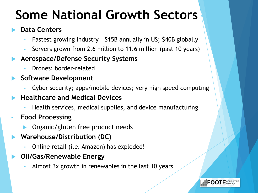## **Some National Growth Sectors**

#### **Data Centers**

- Fastest growing industry \$15B annually in US; \$40B globally
- Servers grown from 2.6 million to 11.6 million (past 10 years)

#### **Aerospace/Defense Security Systems**

• Drones; border-related

#### **Software Development**

- Cyber security; apps/mobile devices; very high speed computing
- **Healthcare and Medical Devices**
	- Health services, medical supplies, and device manufacturing
- **Food Processing**
	- Organic/gluten free product needs
- **Warehouse/Distribution (DC)**
	- Online retail (i.e. Amazon) has exploded!

#### **Oil/Gas/Renewable Energy**

• Almost 3x growth in renewables in the last 10 years

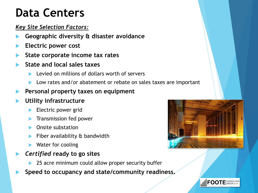### **Data Centers**

#### *Key Site Selection Factors:*

- **Geographic diversity & disaster avoidance**
- **Electric power cost**
- **State corporate income tax rates**
- **State and local sales taxes** 
	- Levied on millions of dollars worth of servers
	- Low rates and/or abatement or rebate on sales taxes are important
- **Personal property taxes on equipment**

#### **Utility infrastructure**

- Electric power grid
- Transmission fed power
- Onsite substation
- Fiber availability & bandwidth
- Water for cooling
- *Certified* **ready to go sites**
	- 25 acre minimum could allow proper security buffer
- **Speed to occupancy and state/community readiness.**



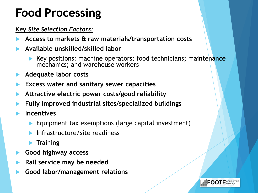### **Food Processing**

#### *Key Site Selection Factors:*

- **Access to markets & raw materials/transportation costs**
- **Available unskilled/skilled labor** 
	- Key positions: machine operators; food technicians; maintenance mechanics; and warehouse workers
- **Adequate labor costs**
- **Excess water and sanitary sewer capacities**
- **Attractive electric power costs/good reliability**
- **Fully improved industrial sites/specialized buildings**
- **Incentives** 
	- Equipment tax exemptions (large capital investment)
	- Infrastructure/site readiness
	- $\blacktriangleright$  Training
- **Good highway access**
- **Rail service may be needed**
- **Good labor/management relations**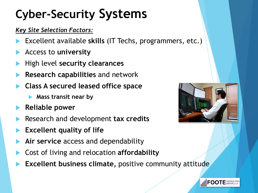## **Cyber-Security Systems**

#### *Key Site Selection Factors:*

- Excellent available **skills** (IT Techs, programmers, etc.)
- Access to **university**
- High level **security clearances**
- **Research capabilities** and network
- **Class A secured leased office space**
	- **Mass transit near by**
- **Reliable power**
- Research and development **tax credits**
- **Excellent quality of life**
- **Air service** access and dependability
- Cost of living and relocation **affordability**
- **Excellent business climate,** positive community attitude



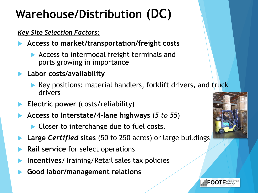## **Warehouse/Distribution (DC)**

#### *Key Site Selection Factors:*

- **Access to market/transportation/freight costs**
	- Access to intermodal freight terminals and ports growing in importance

#### **Labor costs/availability**

- Key positions: material handlers, forklift drivers, and truck drivers
- **Electric power** (costs/reliability)
- **Access to Interstate/4-lane highways** (*5 to 55*)
	- Closer to interchange due to fuel costs.
- **Large** *Certified* **sites** (50 to 250 acres) or large buildings
- **Rail service** for select operations
- **Incentives**/Training/Retail sales tax policies
- **Good labor/management relations**



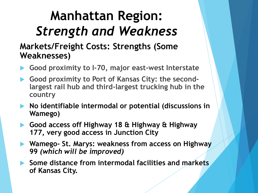## **Manhattan Region:**  *Strength and Weakness*

### **Markets/Freight Costs: Strengths (Some Weaknesses)**

- **Good proximity to I-70, major east-west Interstate**
- **Good proximity to Port of Kansas City: the secondlargest rail hub and third-largest trucking hub in the country**
- **No identifiable intermodal or potential (discussions in Wamego)**
- **Good access off Highway 18 & Highway & Highway 177, very good access in Junction City**
- **Wamego- St. Marys: weakness from access on Highway 99** *(which will be improved)*
- **Some distance from intermodal facilities and markets of Kansas City.**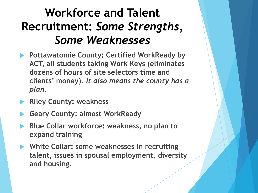### **Workforce and Talent Recruitment:** *Some Strengths, Some Weaknesses*

- **Pottawatomie County: Certified WorkReady by ACT, all students taking Work Keys (eliminates dozens of hours of site selectors time and clients' money).** *It also means the county has a plan.*
- **Riley County: weakness**
- **Geary County: almost WorkReady**
- **Blue Collar workforce: weakness, no plan to expand training**
- **White Collar: some weaknesses in recruiting talent, issues in spousal employment, diversity and housing.**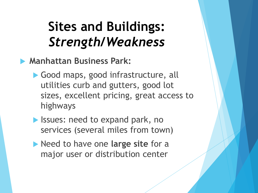**Manhattan Business Park:** 

- Good maps, good infrastructure, all utilities curb and gutters, good lot sizes, excellent pricing, great access to highways
- **In Issues: need to expand park, no** services (several miles from town)
- Need to have one **large site** for a major user or distribution center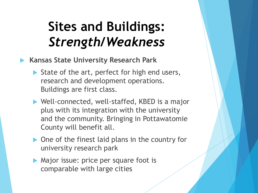- **Kansas State University Research Park**
	- State of the art, perfect for high end users, research and development operations. Buildings are first class.
	- ▶ Well-connected, well-staffed, KBED is a major plus with its integration with the university and the community. Bringing in Pottawatomie County will benefit all.
	- ▶ One of the finest laid plans in the country for university research park
	- **Major issue: price per square foot is** comparable with large cities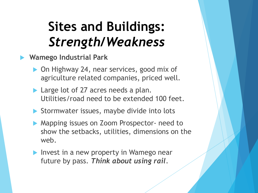**Wamego Industrial Park**

- ▶ On Highway 24, near services, good mix of agriculture related companies, priced well.
- Large lot of 27 acres needs a plan. Utilities/road need to be extended 100 feet.
- Stormwater issues, maybe divide into lots
- **Mapping issues on Zoom Prospector- need to** show the setbacks, utilities, dimensions on the web.
- Invest in a new property in Wamego near future by pass. *Think about using rail*.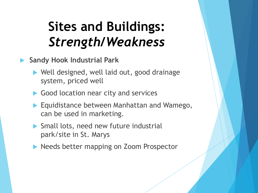- **Sandy Hook Industrial Park**
	- Well designed, well laid out, good drainage system, priced well
	- Good location near city and services
	- **Equidistance between Manhattan and Wamego,** can be used in marketing.
	- Small lots, need new future industrial park/site in St. Marys
	- **Needs better mapping on Zoom Prospector**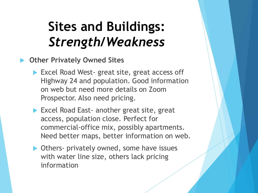- **Other Privately Owned Sites**
	- ▶ Excel Road West- great site, great access off Highway 24 and population. Good information on web but need more details on Zoom Prospector. Also need pricing.
	- **Excel Road East- another great site, great** access, population close. Perfect for commercial-office mix, possibly apartments. Need better maps, better information on web.
	- ▶ Others- privately owned, some have issues with water line size, others lack pricing information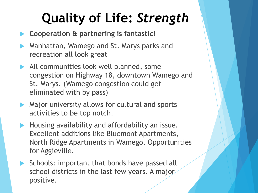## **Quality of Life:** *Strength*

- **Cooperation & partnering is fantastic!**
- Manhattan, Wamego and St. Marys parks and recreation all look great
- All communities look well planned, some congestion on Highway 18, downtown Wamego and St. Marys. (Wamego congestion could get eliminated with by pass)
- Major university allows for cultural and sports activities to be top notch.
- Housing availability and affordability an issue. Excellent additions like Bluemont Apartments, North Ridge Apartments in Wamego. Opportunities for Aggieville.
- $\triangleright$  Schools: important that bonds have passed all school districts in the last few years. A major positive.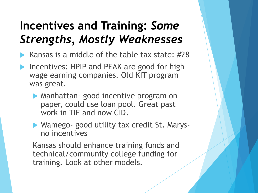### **Incentives and Training:** *Some Strengths, Mostly Weaknesses*

- Kansas is a middle of the table tax state: #28
- Incentives: HPIP and PEAK are good for high wage earning companies. Old KIT program was great.
	- **Manhattan- good incentive program on** paper, could use loan pool. Great past work in TIF and now CID.
	- ▶ Wamego- good utility tax credit St. Marysno incentives

Kansas should enhance training funds and technical/community college funding for training. Look at other models.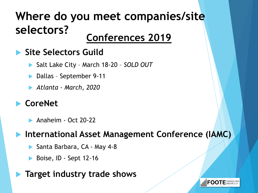## **Where do you meet companies/site selectors? Conferences 2019**

### **Site Selectors Guild**

- ▶ Salt Lake City March 18-20 *SOLD OUT*
- Dallas September 9-11
- *Atlanta - March, 2020*

### **CoreNet**

Anaheim - Oct 20-22

### **International Asset Management Conference (IAMC)**

- Santa Barbara, CA May 4-8
- Boise, ID Sept 12-16

### **Target industry trade shows**